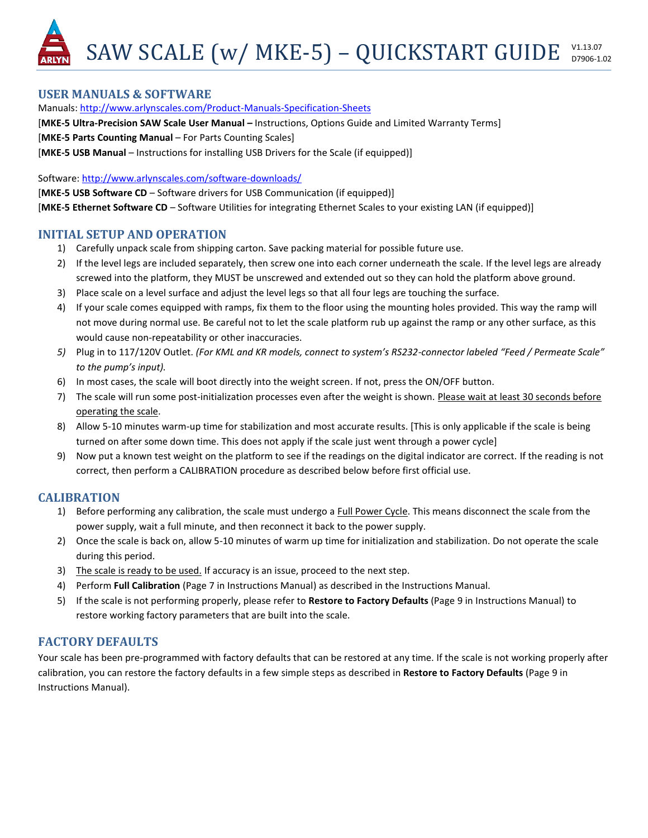SAW SCALE (w/ MKE-5) - QUICKSTART GUIDE V1.13.07 D7906-1.02

### **USER MANUALS & SOFTWARE**

Manuals:<http://www.arlynscales.com/Product-Manuals-Specification-Sheets>

[MKE-5 Ultra-Precision SAW Scale User Manual - Instructions, Options Guide and Limited Warranty Terms]

[**MKE-5 Parts Counting Manual** – For Parts Counting Scales]

[**MKE-5 USB Manual** – Instructions for installing USB Drivers for the Scale (if equipped)]

Software[: http://www.arlynscales.com/software-downloads/](http://www.arlynscales.com/software-downloads/)

[**MKE-5 USB Software CD** – Software drivers for USB Communication (if equipped)]

[**MKE-5 Ethernet Software CD** – Software Utilities for integrating Ethernet Scales to your existing LAN (if equipped)]

### **INITIAL SETUP AND OPERATION**

- 1) Carefully unpack scale from shipping carton. Save packing material for possible future use.
- 2) If the level legs are included separately, then screw one into each corner underneath the scale. If the level legs are already screwed into the platform, they MUST be unscrewed and extended out so they can hold the platform above ground.
- 3) Place scale on a level surface and adjust the level legs so that all four legs are touching the surface.
- 4) If your scale comes equipped with ramps, fix them to the floor using the mounting holes provided. This way the ramp will not move during normal use. Be careful not to let the scale platform rub up against the ramp or any other surface, as this would cause non-repeatability or other inaccuracies.
- *5)* Plug in to 117/120V Outlet. *(For KML and KR models, connect to system's RS232-connector labeled "Feed / Permeate Scale" to the pump's input).*
- 6) In most cases, the scale will boot directly into the weight screen. If not, press the ON/OFF button.
- 7) The scale will run some post-initialization processes even after the weight is shown. Please wait at least 30 seconds before operating the scale.
- 8) Allow 5-10 minutes warm-up time for stabilization and most accurate results. [This is only applicable if the scale is being turned on after some down time. This does not apply if the scale just went through a power cycle]
- 9) Now put a known test weight on the platform to see if the readings on the digital indicator are correct. If the reading is not correct, then perform a CALIBRATION procedure as described below before first official use.

# **CALIBRATION**

- 1) Before performing any calibration, the scale must undergo a Full Power Cycle. This means disconnect the scale from the power supply, wait a full minute, and then reconnect it back to the power supply.
- 2) Once the scale is back on, allow 5-10 minutes of warm up time for initialization and stabilization. Do not operate the scale during this period.
- 3) The scale is ready to be used. If accuracy is an issue, proceed to the next step.
- 4) Perform **Full Calibration** (Page 7 in Instructions Manual) as described in the Instructions Manual.
- 5) If the scale is not performing properly, please refer to **Restore to Factory Defaults** (Page 9 in Instructions Manual) to restore working factory parameters that are built into the scale.

# **FACTORY DEFAULTS**

Your scale has been pre-programmed with factory defaults that can be restored at any time. If the scale is not working properly after calibration, you can restore the factory defaults in a few simple steps as described in **Restore to Factory Defaults** (Page 9 in Instructions Manual).